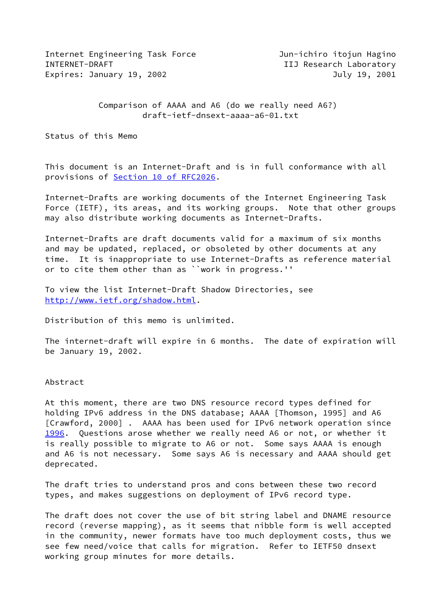Internet Engineering Task Force **Jun-ichiro** itojun Hagino INTERNET-DRAFT **IIJ Research Laboratory** Expires: January 19, 2002 July 19, 2001

 Comparison of AAAA and A6 (do we really need A6?) draft-ietf-dnsext-aaaa-a6-01.txt

Status of this Memo

This document is an Internet-Draft and is in full conformance with all provisions of Section [10 of RFC2026.](https://datatracker.ietf.org/doc/pdf/rfc2026#section-10)

Internet-Drafts are working documents of the Internet Engineering Task Force (IETF), its areas, and its working groups. Note that other groups may also distribute working documents as Internet-Drafts.

Internet-Drafts are draft documents valid for a maximum of six months and may be updated, replaced, or obsoleted by other documents at any time. It is inappropriate to use Internet-Drafts as reference material or to cite them other than as ``work in progress.''

To view the list Internet-Draft Shadow Directories, see <http://www.ietf.org/shadow.html>.

Distribution of this memo is unlimited.

The internet-draft will expire in 6 months. The date of expiration will be January 19, 2002.

Abstract

<span id="page-0-0"></span>At this moment, there are two DNS resource record types defined for holding IPv6 address in the DNS database; AAAA [Thomson, 1995] and A6 [Crawford, 2000] . AAAA has been used for IPv6 network operation since [1996](#page-0-0). Questions arose whether we really need A6 or not, or whether it is really possible to migrate to A6 or not. Some says AAAA is enough and A6 is not necessary. Some says A6 is necessary and AAAA should get deprecated.

The draft tries to understand pros and cons between these two record types, and makes suggestions on deployment of IPv6 record type.

The draft does not cover the use of bit string label and DNAME resource record (reverse mapping), as it seems that nibble form is well accepted in the community, newer formats have too much deployment costs, thus we see few need/voice that calls for migration. Refer to IETF50 dnsext working group minutes for more details.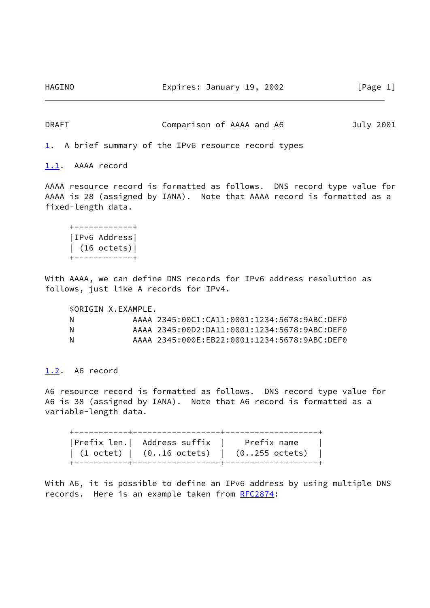HAGINO Expires: January 19, 2002 [Page 1]

DRAFT Comparison of AAAA and A6 July 2001

<span id="page-1-0"></span>[1](#page-1-0). A brief summary of the IPv6 resource record types

<span id="page-1-1"></span>[1.1](#page-1-1). AAAA record

AAAA resource record is formatted as follows. DNS record type value for AAAA is 28 (assigned by IANA). Note that AAAA record is formatted as a fixed-length data.

 +------------+ |IPv6 Address| | (16 octets)| +------------+

With AAAA, we can define DNS records for IPv6 address resolution as follows, just like A records for IPv4.

 \$ORIGIN X.EXAMPLE. N AAAA 2345:00C1:CA11:0001:1234:5678:9ABC:DEF0 N AAAA 2345:00D2:DA11:0001:1234:5678:9ABC:DEF0 N AAAA 2345:000E:EB22:0001:1234:5678:9ABC:DEF0

<span id="page-1-2"></span>[1.2](#page-1-2). A6 record

A6 resource record is formatted as follows. DNS record type value for A6 is 38 (assigned by IANA). Note that A6 record is formatted as a variable-length data.

 +-----------+------------------+-------------------+ |Prefix len.| Address suffix | Prefix name | | (1 octet) | (0..16 octets) | (0..255 octets) | +-----------+------------------+-------------------+

With A6, it is possible to define an IPv6 address by using multiple DNS records. Here is an example taken from [RFC2874](https://datatracker.ietf.org/doc/pdf/rfc2874):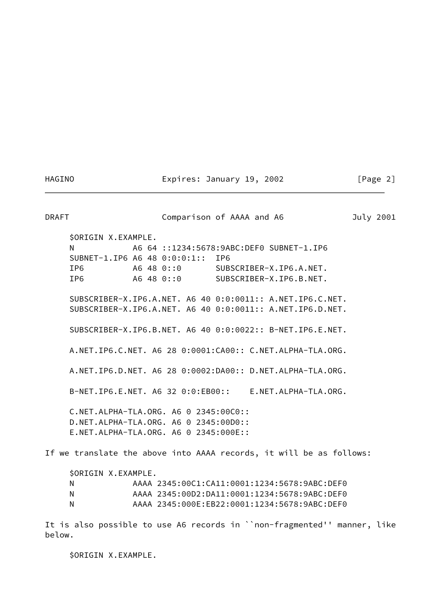HAGINO Expires: January 19, 2002 [Page 2]

DRAFT Comparison of AAAA and A6 July 2001 \$ORIGIN X.EXAMPLE. N A6 64 ::1234:5678:9ABC:DEF0 SUBNET-1.IP6 SUBNET-1.IP6 A6 48 0:0:0:1:: IP6 IP6 A6 48 0::0 SUBSCRIBER-X.IP6.A.NET. IP6 A6 48 0::0 SUBSCRIBER-X.IP6.B.NET. SUBSCRIBER-X.IP6.A.NET. A6 40 0:0:0011:: A.NET.IP6.C.NET. SUBSCRIBER-X.IP6.A.NET. A6 40 0:0:0011:: A.NET.IP6.D.NET. SUBSCRIBER-X.IP6.B.NET. A6 40 0:0:0022:: B-NET.IP6.E.NET. A.NET.IP6.C.NET. A6 28 0:0001:CA00:: C.NET.ALPHA-TLA.ORG. A.NET.IP6.D.NET. A6 28 0:0002:DA00:: D.NET.ALPHA-TLA.ORG. B-NET.IP6.E.NET. A6 32 0:0:EB00:: E.NET.ALPHA-TLA.ORG. C.NET.ALPHA-TLA.ORG. A6 0 2345:00C0:: D.NET.ALPHA-TLA.ORG. A6 0 2345:00D0:: E.NET.ALPHA-TLA.ORG. A6 0 2345:000E:: If we translate the above into AAAA records, it will be as follows: \$ORIGIN X.EXAMPLE. N AAAA 2345:00C1:CA11:0001:1234:5678:9ABC:DEF0 N AAAA 2345:00D2:DA11:0001:1234:5678:9ABC:DEF0 N AAAA 2345:000E:EB22:0001:1234:5678:9ABC:DEF0

It is also possible to use A6 records in ``non-fragmented'' manner, like below.

\$ORIGIN X.EXAMPLE.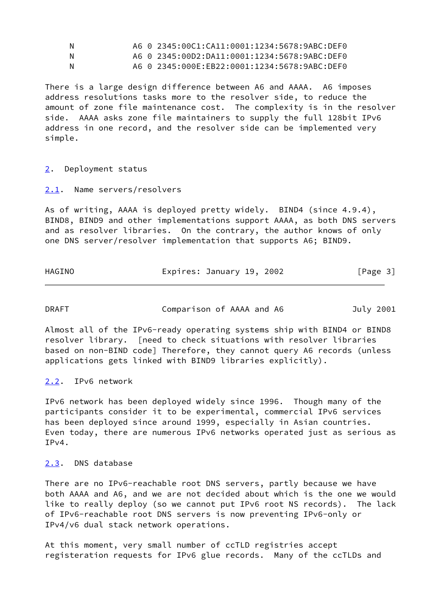| N | A6 0 2345:00C1:CA11:0001:1234:5678:9ABC:DEF0 |
|---|----------------------------------------------|
| N | A6 0 2345:00D2:DA11:0001:1234:5678:9ABC:DEF0 |
| N | A6 0 2345:000E:EB22:0001:1234:5678:9ABC:DEF0 |

There is a large design difference between A6 and AAAA. A6 imposes address resolutions tasks more to the resolver side, to reduce the amount of zone file maintenance cost. The complexity is in the resolver side. AAAA asks zone file maintainers to supply the full 128bit IPv6 address in one record, and the resolver side can be implemented very simple.

<span id="page-3-0"></span>[2](#page-3-0). Deployment status

<span id="page-3-1"></span>[2.1](#page-3-1). Name servers/resolvers

As of writing, AAAA is deployed pretty widely. BIND4 (since 4.9.4), BIND8, BIND9 and other implementations support AAAA, as both DNS servers and as resolver libraries. On the contrary, the author knows of only one DNS server/resolver implementation that supports A6; BIND9.

| HAGINO | Expires: January 19, 2002 | [Page 3] |
|--------|---------------------------|----------|
|--------|---------------------------|----------|

| <b>DRAFT</b> | Comparison of AAAA and A6 | July 2001 |
|--------------|---------------------------|-----------|
|--------------|---------------------------|-----------|

Almost all of the IPv6-ready operating systems ship with BIND4 or BIND8 resolver library. [need to check situations with resolver libraries based on non-BIND code] Therefore, they cannot query A6 records (unless applications gets linked with BIND9 libraries explicitly).

<span id="page-3-2"></span>[2.2](#page-3-2). IPv6 network

IPv6 network has been deployed widely since 1996. Though many of the participants consider it to be experimental, commercial IPv6 services has been deployed since around 1999, especially in Asian countries. Even today, there are numerous IPv6 networks operated just as serious as IPv4.

## <span id="page-3-3"></span>[2.3](#page-3-3). DNS database

There are no IPv6-reachable root DNS servers, partly because we have both AAAA and A6, and we are not decided about which is the one we would like to really deploy (so we cannot put IPv6 root NS records). The lack of IPv6-reachable root DNS servers is now preventing IPv6-only or IPv4/v6 dual stack network operations.

At this moment, very small number of ccTLD registries accept registeration requests for IPv6 glue records. Many of the ccTLDs and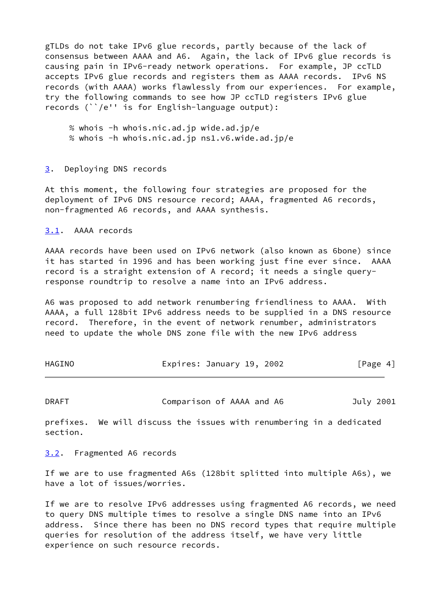gTLDs do not take IPv6 glue records, partly because of the lack of consensus between AAAA and A6. Again, the lack of IPv6 glue records is causing pain in IPv6-ready network operations. For example, JP ccTLD accepts IPv6 glue records and registers them as AAAA records. IPv6 NS records (with AAAA) works flawlessly from our experiences. For example, try the following commands to see how JP ccTLD registers IPv6 glue records (``/e'' is for English-language output):

 % whois -h whois.nic.ad.jp wide.ad.jp/e % whois -h whois.nic.ad.jp ns1.v6.wide.ad.jp/e

## <span id="page-4-0"></span>[3](#page-4-0). Deploying DNS records

At this moment, the following four strategies are proposed for the deployment of IPv6 DNS resource record; AAAA, fragmented A6 records, non-fragmented A6 records, and AAAA synthesis.

<span id="page-4-1"></span>[3.1](#page-4-1). AAAA records

AAAA records have been used on IPv6 network (also known as 6bone) since it has started in 1996 and has been working just fine ever since. AAAA record is a straight extension of A record; it needs a single queryresponse roundtrip to resolve a name into an IPv6 address.

A6 was proposed to add network renumbering friendliness to AAAA. With AAAA, a full 128bit IPv6 address needs to be supplied in a DNS resource record. Therefore, in the event of network renumber, administrators need to update the whole DNS zone file with the new IPv6 address

| HAGINO | Expires: January 19, 2002 |  | [Page 4] |  |
|--------|---------------------------|--|----------|--|
|        |                           |  |          |  |

DRAFT Comparison of AAAA and A6 July 2001

prefixes. We will discuss the issues with renumbering in a dedicated section.

<span id="page-4-2"></span>[3.2](#page-4-2). Fragmented A6 records

If we are to use fragmented A6s (128bit splitted into multiple A6s), we have a lot of issues/worries.

If we are to resolve IPv6 addresses using fragmented A6 records, we need to query DNS multiple times to resolve a single DNS name into an IPv6 address. Since there has been no DNS record types that require multiple queries for resolution of the address itself, we have very little experience on such resource records.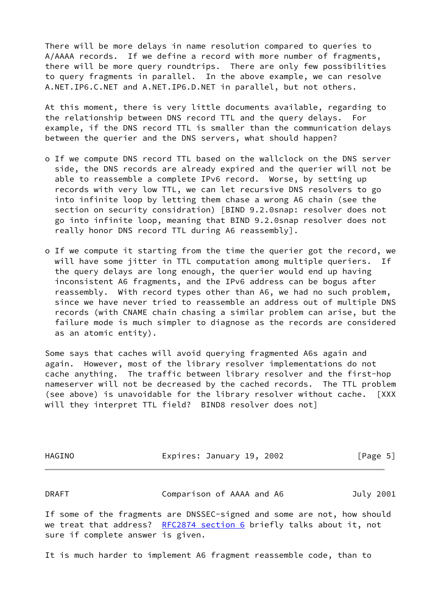There will be more delays in name resolution compared to queries to A/AAAA records. If we define a record with more number of fragments, there will be more query roundtrips. There are only few possibilities to query fragments in parallel. In the above example, we can resolve A.NET.IP6.C.NET and A.NET.IP6.D.NET in parallel, but not others.

At this moment, there is very little documents available, regarding to the relationship between DNS record TTL and the query delays. For example, if the DNS record TTL is smaller than the communication delays between the querier and the DNS servers, what should happen?

- o If we compute DNS record TTL based on the wallclock on the DNS server side, the DNS records are already expired and the querier will not be able to reassemble a complete IPv6 record. Worse, by setting up records with very low TTL, we can let recursive DNS resolvers to go into infinite loop by letting them chase a wrong A6 chain (see the section on security considration) [BIND 9.2.0snap: resolver does not go into infinite loop, meaning that BIND 9.2.0snap resolver does not really honor DNS record TTL during A6 reassembly].
- o If we compute it starting from the time the querier got the record, we will have some jitter in TTL computation among multiple queriers. If the query delays are long enough, the querier would end up having inconsistent A6 fragments, and the IPv6 address can be bogus after reassembly. With record types other than A6, we had no such problem, since we have never tried to reassemble an address out of multiple DNS records (with CNAME chain chasing a similar problem can arise, but the failure mode is much simpler to diagnose as the records are considered as an atomic entity).

Some says that caches will avoid querying fragmented A6s again and again. However, most of the library resolver implementations do not cache anything. The traffic between library resolver and the first-hop nameserver will not be decreased by the cached records. The TTL problem (see above) is unavoidable for the library resolver without cache. [XXX will they interpret TTL field? BIND8 resolver does not]

| HAGINO | Expires: January 19, 2002 | [Page 5]  |
|--------|---------------------------|-----------|
| DRAFT  | Comparison of AAAA and A6 | July 2001 |

If some of the fragments are DNSSEC-signed and some are not, how should we treat that address? [RFC2874 section](https://datatracker.ietf.org/doc/pdf/rfc2874#section-6) 6 briefly talks about it, not sure if complete answer is given.

It is much harder to implement A6 fragment reassemble code, than to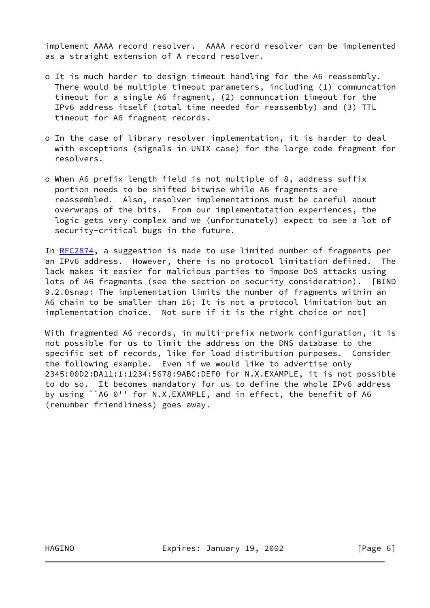implement AAAA record resolver. AAAA record resolver can be implemented as a straight extension of A record resolver.

- o It is much harder to design timeout handling for the A6 reassembly. There would be multiple timeout parameters, including (1) communcation timeout for a single A6 fragment, (2) communcation timeout for the IPv6 address itself (total time needed for reassembly) and (3) TTL timeout for A6 fragment records.
- o In the case of library resolver implementation, it is harder to deal with exceptions (signals in UNIX case) for the large code fragment for resolvers.
- o When A6 prefix length field is not multiple of 8, address suffix portion needs to be shifted bitwise while A6 fragments are reassembled. Also, resolver implementations must be careful about overwraps of the bits. From our implementatation experiences, the logic gets very complex and we (unfortunately) expect to see a lot of security-critical bugs in the future.

In [RFC2874](https://datatracker.ietf.org/doc/pdf/rfc2874), a suggestion is made to use limited number of fragments per an IPv6 address. However, there is no protocol limitation defined. The lack makes it easier for malicious parties to impose DoS attacks using lots of A6 fragments (see the section on security consideration). [BIND 9.2.0snap: The implementation limits the number of fragments within an A6 chain to be smaller than 16; It is not a protocol limitation but an implementation choice. Not sure if it is the right choice or not]

With fragmented A6 records, in multi-prefix network configuration, it is not possible for us to limit the address on the DNS database to the specific set of records, like for load distribution purposes. Consider the following example. Even if we would like to advertise only 2345:00D2:DA11:1:1234:5678:9ABC:DEF0 for N.X.EXAMPLE, it is not possible to do so. It becomes mandatory for us to define the whole IPv6 address by using ``A6 0'' for N.X.EXAMPLE, and in effect, the benefit of A6 (renumber friendliness) goes away.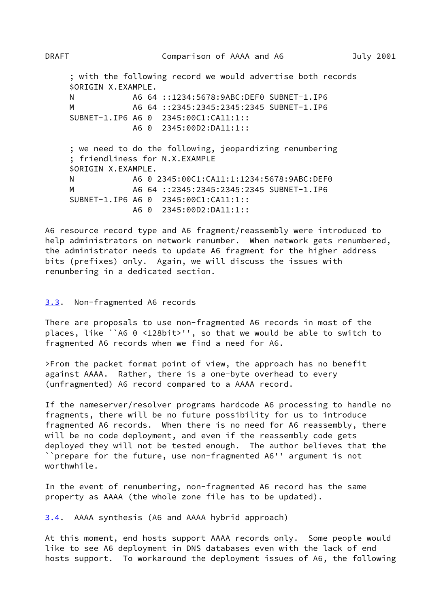; with the following record we would advertise both records \$ORIGIN X.EXAMPLE. N A6 64 ::1234:5678:9ABC:DEF0 SUBNET-1.IP6 M A6 64 ::2345:2345:2345:2345 SUBNET-1.IP6 SUBNET-1.IP6 A6 0 2345:00C1:CA11:1:: A6 0 2345:00D2:DA11:1:: ; we need to do the following, jeopardizing renumbering ; friendliness for N.X.EXAMPLE \$ORIGIN X.EXAMPLE. N A6 0 2345:00C1:CA11:1:1234:5678:9ABC:DEF0 M A6 64 ::2345:2345:2345:2345 SUBNET-1.IP6 SUBNET-1.IP6 A6 0 2345:00C1:CA11:1:: A6 0 2345:00D2:DA11:1::

A6 resource record type and A6 fragment/reassembly were introduced to help administrators on network renumber. When network gets renumbered, the administrator needs to update A6 fragment for the higher address bits (prefixes) only. Again, we will discuss the issues with renumbering in a dedicated section.

## <span id="page-7-0"></span>[3.3](#page-7-0). Non-fragmented A6 records

There are proposals to use non-fragmented A6 records in most of the places, like ``A6 0 <128bit>'', so that we would be able to switch to fragmented A6 records when we find a need for A6.

>From the packet format point of view, the approach has no benefit against AAAA. Rather, there is a one-byte overhead to every (unfragmented) A6 record compared to a AAAA record.

If the nameserver/resolver programs hardcode A6 processing to handle no fragments, there will be no future possibility for us to introduce fragmented A6 records. When there is no need for A6 reassembly, there will be no code deployment, and even if the reassembly code gets deployed they will not be tested enough. The author believes that the ``prepare for the future, use non-fragmented A6'' argument is not worthwhile.

In the event of renumbering, non-fragmented A6 record has the same property as AAAA (the whole zone file has to be updated).

<span id="page-7-1"></span>[3.4](#page-7-1). AAAA synthesis (A6 and AAAA hybrid approach)

At this moment, end hosts support AAAA records only. Some people would like to see A6 deployment in DNS databases even with the lack of end hosts support. To workaround the deployment issues of A6, the following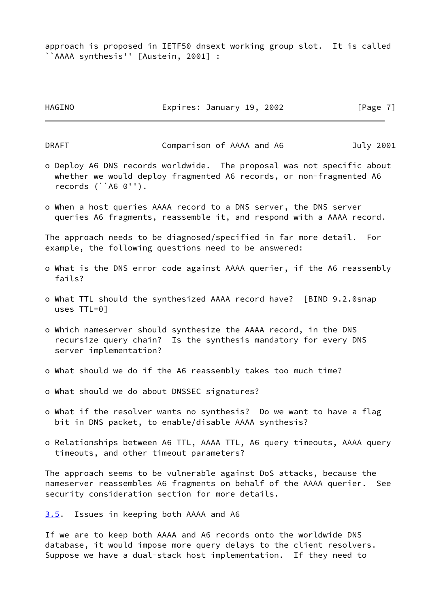approach is proposed in IETF50 dnsext working group slot. It is called ``AAAA synthesis'' [Austein, 2001] :

| HAGINO | Expires: January 19, 2002 |  |  |  | [Page 7] |  |  |
|--------|---------------------------|--|--|--|----------|--|--|
|--------|---------------------------|--|--|--|----------|--|--|

DRAFT Comparison of AAAA and A6 July 2001

- o Deploy A6 DNS records worldwide. The proposal was not specific about whether we would deploy fragmented A6 records, or non-fragmented A6 records (``A6 0'').
- o When a host queries AAAA record to a DNS server, the DNS server queries A6 fragments, reassemble it, and respond with a AAAA record.

The approach needs to be diagnosed/specified in far more detail. For example, the following questions need to be answered:

- o What is the DNS error code against AAAA querier, if the A6 reassembly fails?
- o What TTL should the synthesized AAAA record have? [BIND 9.2.0snap uses TTL=0]
- o Which nameserver should synthesize the AAAA record, in the DNS recursize query chain? Is the synthesis mandatory for every DNS server implementation?
- o What should we do if the A6 reassembly takes too much time?
- o What should we do about DNSSEC signatures?
- o What if the resolver wants no synthesis? Do we want to have a flag bit in DNS packet, to enable/disable AAAA synthesis?
- o Relationships between A6 TTL, AAAA TTL, A6 query timeouts, AAAA query timeouts, and other timeout parameters?

The approach seems to be vulnerable against DoS attacks, because the nameserver reassembles A6 fragments on behalf of the AAAA querier. See security consideration section for more details.

<span id="page-8-0"></span>[3.5](#page-8-0). Issues in keeping both AAAA and A6

If we are to keep both AAAA and A6 records onto the worldwide DNS database, it would impose more query delays to the client resolvers. Suppose we have a dual-stack host implementation. If they need to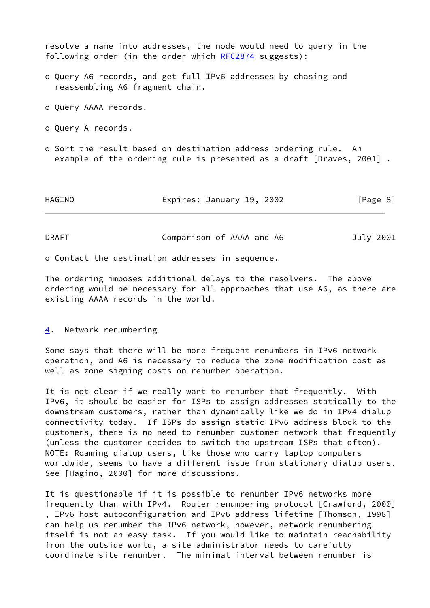resolve a name into addresses, the node would need to query in the following order (in the order which [RFC2874](https://datatracker.ietf.org/doc/pdf/rfc2874) suggests): o Query A6 records, and get full IPv6 addresses by chasing and reassembling A6 fragment chain. o Query AAAA records. o Query A records. o Sort the result based on destination address ordering rule. An example of the ordering rule is presented as a draft [Draves, 2001] . HAGINO Expires: January 19, 2002 [Page 8]

| <b>DRAFT</b> | Comparison of AAAA and A6 | July 2001 |
|--------------|---------------------------|-----------|
|--------------|---------------------------|-----------|

o Contact the destination addresses in sequence.

The ordering imposes additional delays to the resolvers. The above ordering would be necessary for all approaches that use A6, as there are existing AAAA records in the world.

<span id="page-9-0"></span>[4](#page-9-0). Network renumbering

Some says that there will be more frequent renumbers in IPv6 network operation, and A6 is necessary to reduce the zone modification cost as well as zone signing costs on renumber operation.

It is not clear if we really want to renumber that frequently. With IPv6, it should be easier for ISPs to assign addresses statically to the downstream customers, rather than dynamically like we do in IPv4 dialup connectivity today. If ISPs do assign static IPv6 address block to the customers, there is no need to renumber customer network that frequently (unless the customer decides to switch the upstream ISPs that often). NOTE: Roaming dialup users, like those who carry laptop computers worldwide, seems to have a different issue from stationary dialup users. See [Hagino, 2000] for more discussions.

It is questionable if it is possible to renumber IPv6 networks more frequently than with IPv4. Router renumbering protocol [Crawford, 2000] , IPv6 host autoconfiguration and IPv6 address lifetime [Thomson, 1998] can help us renumber the IPv6 network, however, network renumbering itself is not an easy task. If you would like to maintain reachability from the outside world, a site administrator needs to carefully coordinate site renumber. The minimal interval between renumber is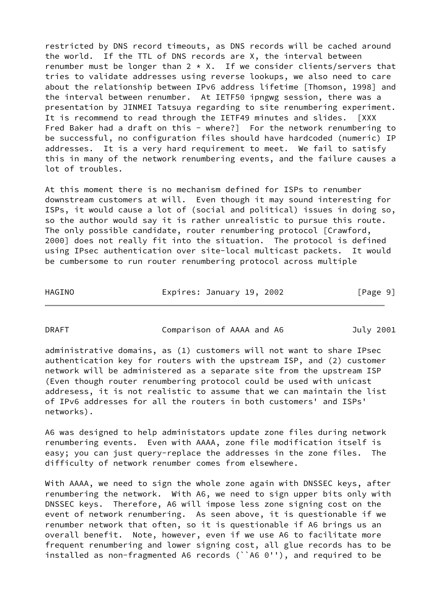restricted by DNS record timeouts, as DNS records will be cached around the world. If the TTL of DNS records are X, the interval between renumber must be longer than  $2 \times X$ . If we consider clients/servers that tries to validate addresses using reverse lookups, we also need to care about the relationship between IPv6 address lifetime [Thomson, 1998] and the interval between renumber. At IETF50 ipngwg session, there was a presentation by JINMEI Tatsuya regarding to site renumbering experiment. It is recommend to read through the IETF49 minutes and slides. [XXX Fred Baker had a draft on this - where?] For the network renumbering to be successful, no configuration files should have hardcoded (numeric) IP addresses. It is a very hard requirement to meet. We fail to satisfy this in many of the network renumbering events, and the failure causes a lot of troubles.

At this moment there is no mechanism defined for ISPs to renumber downstream customers at will. Even though it may sound interesting for ISPs, it would cause a lot of (social and political) issues in doing so, so the author would say it is rather unrealistic to pursue this route. The only possible candidate, router renumbering protocol [Crawford, 2000] does not really fit into the situation. The protocol is defined using IPsec authentication over site-local multicast packets. It would be cumbersome to run router renumbering protocol across multiple

HAGINO Expires: January 19, 2002 [Page 9]

DRAFT Comparison of AAAA and A6 July 2001

administrative domains, as (1) customers will not want to share IPsec authentication key for routers with the upstream ISP, and (2) customer network will be administered as a separate site from the upstream ISP (Even though router renumbering protocol could be used with unicast addresess, it is not realistic to assume that we can maintain the list of IPv6 addresses for all the routers in both customers' and ISPs' networks).

A6 was designed to help administators update zone files during network renumbering events. Even with AAAA, zone file modification itself is easy; you can just query-replace the addresses in the zone files. The difficulty of network renumber comes from elsewhere.

With AAAA, we need to sign the whole zone again with DNSSEC keys, after renumbering the network. With A6, we need to sign upper bits only with DNSSEC keys. Therefore, A6 will impose less zone signing cost on the event of network renumbering. As seen above, it is questionable if we renumber network that often, so it is questionable if A6 brings us an overall benefit. Note, however, even if we use A6 to facilitate more frequent renumbering and lower signing cost, all glue records has to be installed as non-fragmented A6 records (``A6 0''), and required to be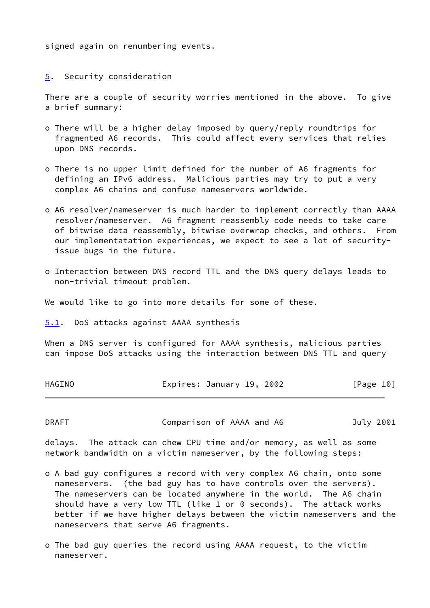signed again on renumbering events.

<span id="page-11-0"></span>[5](#page-11-0). Security consideration

There are a couple of security worries mentioned in the above. To give a brief summary:

- o There will be a higher delay imposed by query/reply roundtrips for fragmented A6 records. This could affect every services that relies upon DNS records.
- o There is no upper limit defined for the number of A6 fragments for defining an IPv6 address. Malicious parties may try to put a very complex A6 chains and confuse nameservers worldwide.
- o A6 resolver/nameserver is much harder to implement correctly than AAAA resolver/nameserver. A6 fragment reassembly code needs to take care of bitwise data reassembly, bitwise overwrap checks, and others. From our implementatation experiences, we expect to see a lot of security issue bugs in the future.
- o Interaction between DNS record TTL and the DNS query delays leads to non-trivial timeout problem.

We would like to go into more details for some of these.

<span id="page-11-1"></span>[5.1](#page-11-1). DoS attacks against AAAA synthesis

When a DNS server is configured for AAAA synthesis, malicious parties can impose DoS attacks using the interaction between DNS TTL and query

| HAGINO | Expires: January 19, 2002 |  |  |  | [Page 10] |  |
|--------|---------------------------|--|--|--|-----------|--|
|--------|---------------------------|--|--|--|-----------|--|

DRAFT Comparison of AAAA and A6 July 2001

delays. The attack can chew CPU time and/or memory, as well as some network bandwidth on a victim nameserver, by the following steps:

- o A bad guy configures a record with very complex A6 chain, onto some nameservers. (the bad guy has to have controls over the servers). The nameservers can be located anywhere in the world. The A6 chain should have a very low TTL (like 1 or 0 seconds). The attack works better if we have higher delays between the victim nameservers and the nameservers that serve A6 fragments.
- o The bad guy queries the record using AAAA request, to the victim nameserver.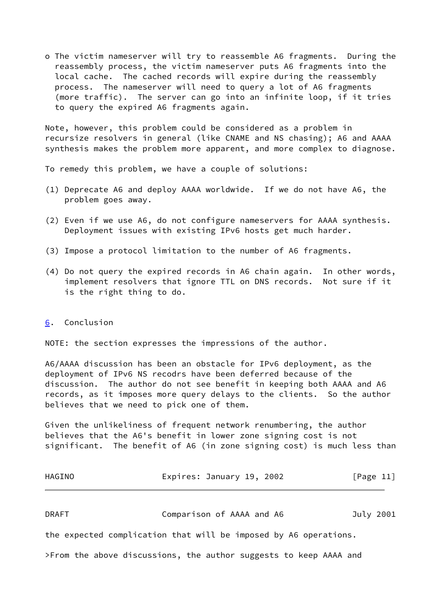o The victim nameserver will try to reassemble A6 fragments. During the reassembly process, the victim nameserver puts A6 fragments into the local cache. The cached records will expire during the reassembly process. The nameserver will need to query a lot of A6 fragments (more traffic). The server can go into an infinite loop, if it tries to query the expired A6 fragments again.

Note, however, this problem could be considered as a problem in recursize resolvers in general (like CNAME and NS chasing); A6 and AAAA synthesis makes the problem more apparent, and more complex to diagnose.

To remedy this problem, we have a couple of solutions:

- (1) Deprecate A6 and deploy AAAA worldwide. If we do not have A6, the problem goes away.
- (2) Even if we use A6, do not configure nameservers for AAAA synthesis. Deployment issues with existing IPv6 hosts get much harder.
- (3) Impose a protocol limitation to the number of A6 fragments.
- (4) Do not query the expired records in A6 chain again. In other words, implement resolvers that ignore TTL on DNS records. Not sure if it is the right thing to do.

## <span id="page-12-0"></span>[6](#page-12-0). Conclusion

NOTE: the section expresses the impressions of the author.

A6/AAAA discussion has been an obstacle for IPv6 deployment, as the deployment of IPv6 NS recodrs have been deferred because of the discussion. The author do not see benefit in keeping both AAAA and A6 records, as it imposes more query delays to the clients. So the author believes that we need to pick one of them.

Given the unlikeliness of frequent network renumbering, the author believes that the A6's benefit in lower zone signing cost is not significant. The benefit of A6 (in zone signing cost) is much less than

| HAGINO | Expires: January 19, 2002 | [Page 11] |
|--------|---------------------------|-----------|
|--------|---------------------------|-----------|

DRAFT Comparison of AAAA and A6 July 2001

the expected complication that will be imposed by A6 operations.

>From the above discussions, the author suggests to keep AAAA and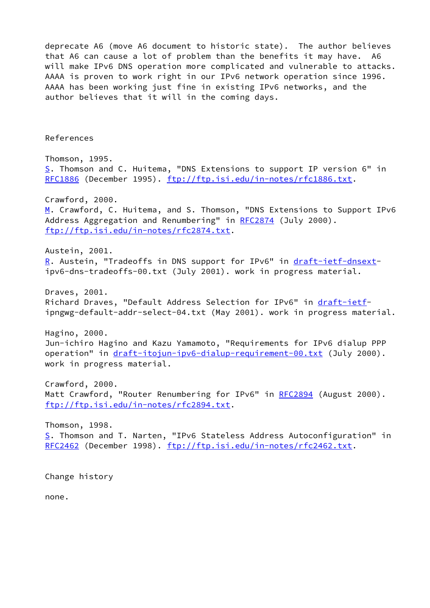deprecate A6 (move A6 document to historic state). The author believes that A6 can cause a lot of problem than the benefits it may have. A6 will make IPv6 DNS operation more complicated and vulnerable to attacks. AAAA is proven to work right in our IPv6 network operation since 1996. AAAA has been working just fine in existing IPv6 networks, and the author believes that it will in the coming days.

References

<span id="page-13-2"></span><span id="page-13-1"></span><span id="page-13-0"></span>Thomson, 1995. [S](#page-13-0). Thomson and C. Huitema, "DNS Extensions to support IP version 6" in [RFC1886](https://datatracker.ietf.org/doc/pdf/rfc1886) (December 1995).<ftp://ftp.isi.edu/in-notes/rfc1886.txt>. Crawford, 2000. [M](#page-13-1). Crawford, C. Huitema, and S. Thomson, "DNS Extensions to Support IPv6 Address Aggregation and Renumbering" in [RFC2874](https://datatracker.ietf.org/doc/pdf/rfc2874) (July 2000). <ftp://ftp.isi.edu/in-notes/rfc2874.txt>. Austein, 2001. [R](#page-13-2). Austein, "Tradeoffs in DNS support for IPv6" in [draft-ietf-dnsext](https://datatracker.ietf.org/doc/pdf/draft-ietf-dnsext)ipv6-dns-tradeoffs-00.txt (July 2001). work in progress material. Draves, 2001. Richard Draves, "Default Address Selection for IPv6" in [draft-ietf](https://datatracker.ietf.org/doc/pdf/draft-ietf)ipngwg-default-addr-select-04.txt (May 2001). work in progress material. Hagino, 2000. Jun-ichiro Hagino and Kazu Yamamoto, "Requirements for IPv6 dialup PPP operation" in [draft-itojun-ipv6-dialup-requirement-00.txt](https://datatracker.ietf.org/doc/pdf/draft-itojun-ipv6-dialup-requirement-00.txt) (July 2000). work in progress material. Crawford, 2000. Matt Crawford, "Router Renumbering for IPv6" in [RFC2894](https://datatracker.ietf.org/doc/pdf/rfc2894) (August 2000). <ftp://ftp.isi.edu/in-notes/rfc2894.txt>. Thomson, 1998. [S](#page-13-0). Thomson and T. Narten, "IPv6 Stateless Address Autoconfiguration" in

[RFC2462](https://datatracker.ietf.org/doc/pdf/rfc2462) (December 1998).<ftp://ftp.isi.edu/in-notes/rfc2462.txt>.

Change history

none.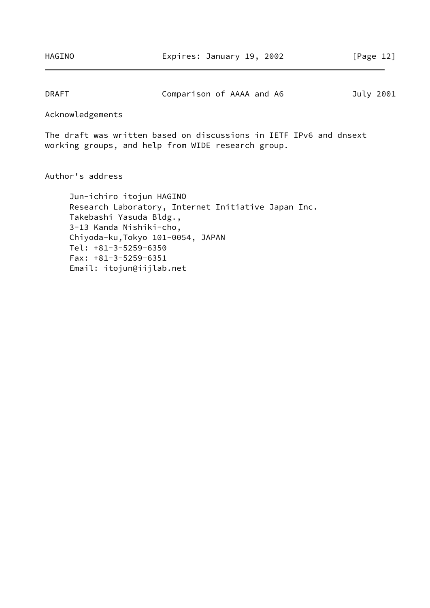DRAFT Comparison of AAAA and A6 July 2001

Acknowledgements

The draft was written based on discussions in IETF IPv6 and dnsext working groups, and help from WIDE research group.

Author's address

 Jun-ichiro itojun HAGINO Research Laboratory, Internet Initiative Japan Inc. Takebashi Yasuda Bldg., 3-13 Kanda Nishiki-cho, Chiyoda-ku,Tokyo 101-0054, JAPAN Tel: +81-3-5259-6350 Fax: +81-3-5259-6351 Email: itojun@iijlab.net